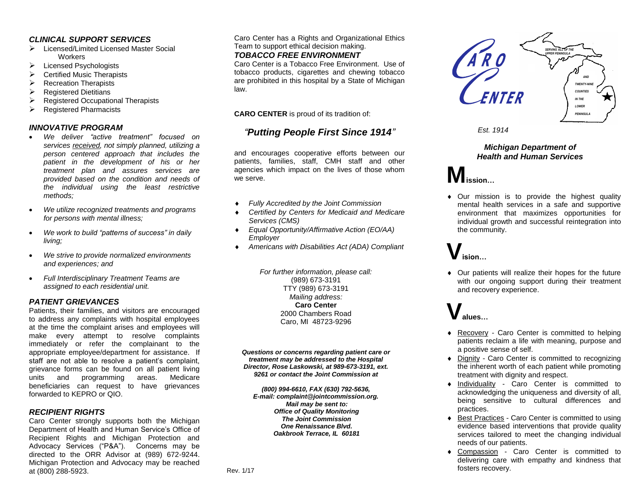### *CLINICAL SUPPORT SERVICES*

- ➢ Licensed/Limited Licensed Master Social **Workers**
- ➢ Licensed Psychologists
- $\triangleright$  Certified Music Therapists
- ➢ Recreation Therapists
- ➢ Registered Dietitians
- ➢ Registered Occupational Therapists
- ➢ Registered Pharmacists

### *INNOVATIVE PROGRAM*

- *We deliver "active treatment" focused on services received, not simply planned, utilizing a person centered approach that includes the patient in the development of his or her treatment plan and assures services are provided based on the condition and needs of the individual using the least restrictive methods;*
- *We utilize recognized treatments and programs for persons with mental illness;*
- *We work to build "patterns of success" in daily living;*
- *We strive to provide normalized environments and experiences; and*
- *Full Interdisciplinary Treatment Teams are assigned to each residential unit.*

### *PATIENT GRIEVANCES*

Patients, their families, and visitors are encouraged to address any complaints with hospital employees at the time the complaint arises and employees will make every attempt to resolve complaints immediately or refer the complainant to the appropriate employee/department for assistance. If staff are not able to resolve a patient's complaint, grievance forms can be found on all patient living units and programming areas. Medicare beneficiaries can request to have grievances forwarded to KEPRO or QIO.

#### *RECIPIENT RIGHTS*

Caro Center strongly supports both the Michigan Department of Health and Human Service's Office of Recipient Rights and Michigan Protection and Advocacy Services ("P&A"). Concerns may be directed to the ORR Advisor at (989) 672-9244. Michigan Protection and Advocacy may be reached at (800) 288-5923.

Caro Center has a Rights and Organizational Ethics Team to support ethical decision making.

### *TOBACCO FREE ENVIRONMENT*

Caro Center is a Tobacco Free Environment. Use of tobacco products, cigarettes and chewing tobacco are prohibited in this hospital by a State of Michigan law.

**CARO CENTER** is proud of its tradition of:

## *"Putting People First Since 1914"*

and encourages cooperative efforts between our patients, families, staff, CMH staff and other agencies which impact on the lives of those whom we serve.

- *Fully Accredited by the Joint Commission*
- *Certified by Centers for Medicaid and Medicare Services (CMS)*
- *Equal Opportunity/Affirmative Action (EO/AA) Employer*
- *Americans with Disabilities Act (ADA) Compliant*

*For further information, please call:* (989) 673-3191 TTY (989) 673-3191 *Mailing address:* **Caro Center** 2000 Chambers Road Caro, MI 48723-9296

*Questions or concerns regarding patient care or treatment may be addressed to the Hospital Director, Rose Laskowski, at 989-673-3191, ext. 9261 or contact the Joint Commission at* 

*(800) 994-6610, FAX (630) 792-5636, E-mail: complaint@jointcommission.org. Mail may be sent to: Office of Quality Monitoring The Joint Commission One Renaissance Blvd. Oakbrook Terrace, IL 60181*



*Est. 1914*

### *Michigan Department of Health and Human Services*

## **Mission…**

 Our mission is to provide the highest quality mental health services in a safe and supportive environment that maximizes opportunities for individual growth and successful reintegration into the community.

# **Vision…**

 Our patients will realize their hopes for the future with our ongoing support during their treatment and recovery experience.

# **Values…**

- Recovery Caro Center is committed to helping patients reclaim a life with meaning, purpose and a positive sense of self.
- ◆ Dignity Caro Center is committed to recognizing the inherent worth of each patient while promoting treatment with dignity and respect.
- Individuality Caro Center is committed to acknowledging the uniqueness and diversity of all, being sensitive to cultural differences and practices.
- ◆ Best Practices Caro Center is committed to using evidence based interventions that provide quality services tailored to meet the changing individual needs of our patients.
- Compassion Caro Center is committed to delivering care with empathy and kindness that fosters recovery.